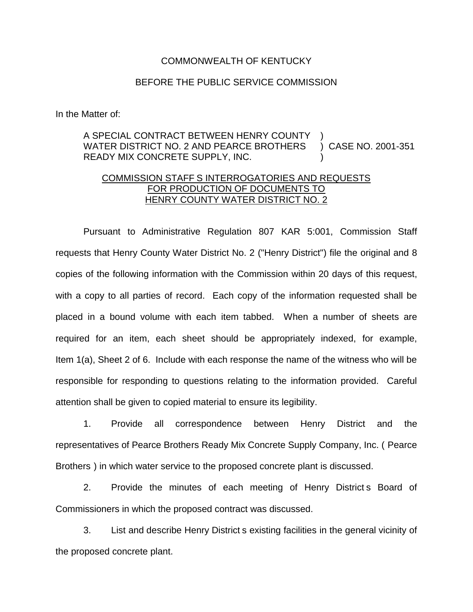## COMMONWEALTH OF KENTUCKY

## BEFORE THE PUBLIC SERVICE COMMISSION

In the Matter of:

## A SPECIAL CONTRACT BETWEEN HENRY COUNTY WATER DISTRICT NO. 2 AND PEARCE BROTHERS READY MIX CONCRETE SUPPLY, INC. ) ) CASE NO. 2001-351 )

## COMMISSION STAFF S INTERROGATORIES AND REQUESTS FOR PRODUCTION OF DOCUMENTS TO HENRY COUNTY WATER DISTRICT NO. 2

Pursuant to Administrative Regulation 807 KAR 5:001, Commission Staff requests that Henry County Water District No. 2 ("Henry District") file the original and 8 copies of the following information with the Commission within 20 days of this request, with a copy to all parties of record. Each copy of the information requested shall be placed in a bound volume with each item tabbed. When a number of sheets are required for an item, each sheet should be appropriately indexed, for example, Item 1(a), Sheet 2 of 6. Include with each response the name of the witness who will be responsible for responding to questions relating to the information provided. Careful attention shall be given to copied material to ensure its legibility.

1. Provide all correspondence between Henry District and the representatives of Pearce Brothers Ready Mix Concrete Supply Company, Inc. ( Pearce Brothers ) in which water service to the proposed concrete plant is discussed.

2. Provide the minutes of each meeting of Henry District s Board of Commissioners in which the proposed contract was discussed.

3. List and describe Henry District s existing facilities in the general vicinity of the proposed concrete plant.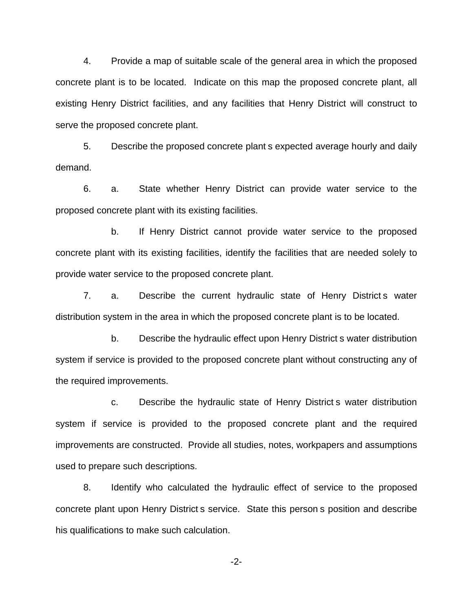4. Provide a map of suitable scale of the general area in which the proposed concrete plant is to be located. Indicate on this map the proposed concrete plant, all existing Henry District facilities, and any facilities that Henry District will construct to serve the proposed concrete plant.

5. Describe the proposed concrete plant s expected average hourly and daily demand.

6. a. State whether Henry District can provide water service to the proposed concrete plant with its existing facilities.

b. If Henry District cannot provide water service to the proposed concrete plant with its existing facilities, identify the facilities that are needed solely to provide water service to the proposed concrete plant.

7. a. Describe the current hydraulic state of Henry District s water distribution system in the area in which the proposed concrete plant is to be located.

b. Describe the hydraulic effect upon Henry District s water distribution system if service is provided to the proposed concrete plant without constructing any of the required improvements.

c. Describe the hydraulic state of Henry District s water distribution system if service is provided to the proposed concrete plant and the required improvements are constructed. Provide all studies, notes, workpapers and assumptions used to prepare such descriptions.

8. Identify who calculated the hydraulic effect of service to the proposed concrete plant upon Henry District s service. State this person s position and describe his qualifications to make such calculation.

-2-